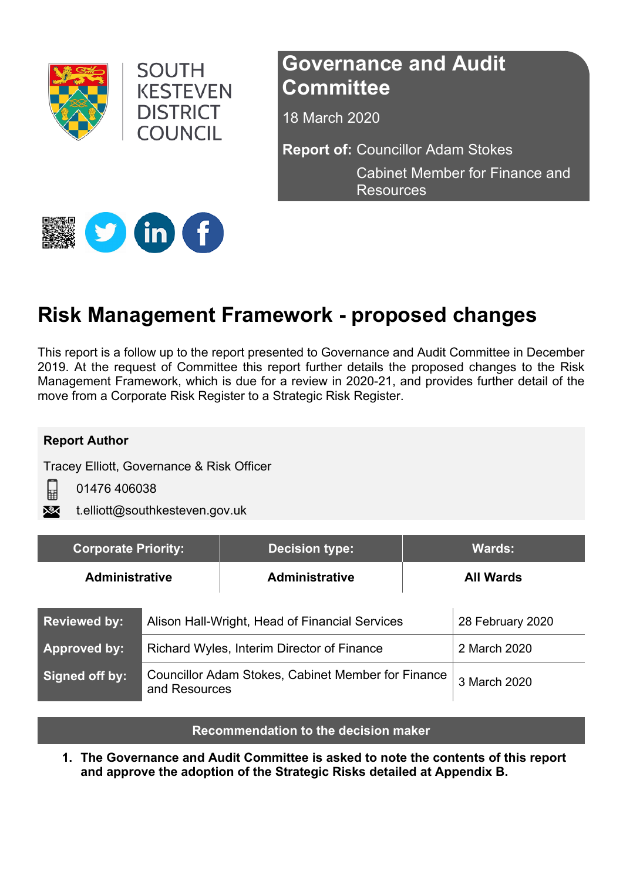

**SOUTH KESTEVEN DISTRICT** COUNCIL

# **Governance and Audit Committee**

18 March 2020

**Report of:** Councillor Adam Stokes

Cabinet Member for Finance and **Resources** 



# **Risk Management Framework - proposed changes**

This report is a follow up to the report presented to Governance and Audit Committee in December 2019. At the request of Committee this report further details the proposed changes to the Risk Management Framework, which is due for a review in 2020-21, and provides further detail of the move from a Corporate Risk Register to a Strategic Risk Register.

#### **Report Author**

目

Tracey Elliott, Governance & Risk Officer

01476 406038

t.elliott@southkesteven.gov.uk

| <b>Corporate Priority:</b> |                                                                            | <b>Decision type:</b> |                  | <b>Wards:</b>    |
|----------------------------|----------------------------------------------------------------------------|-----------------------|------------------|------------------|
| <b>Administrative</b>      |                                                                            | <b>Administrative</b> | <b>All Wards</b> |                  |
| <b>Reviewed by:</b>        | Alison Hall-Wright, Head of Financial Services                             |                       |                  | 28 February 2020 |
| <b>Approved by:</b>        | Richard Wyles, Interim Director of Finance                                 |                       |                  | 2 March 2020     |
| Signed off by:             | <b>Councillor Adam Stokes, Cabinet Member for Finance</b><br>and Resources |                       |                  | 3 March 2020     |

**Recommendation to the decision maker**

**1. The Governance and Audit Committee is asked to note the contents of this report and approve the adoption of the Strategic Risks detailed at Appendix B.**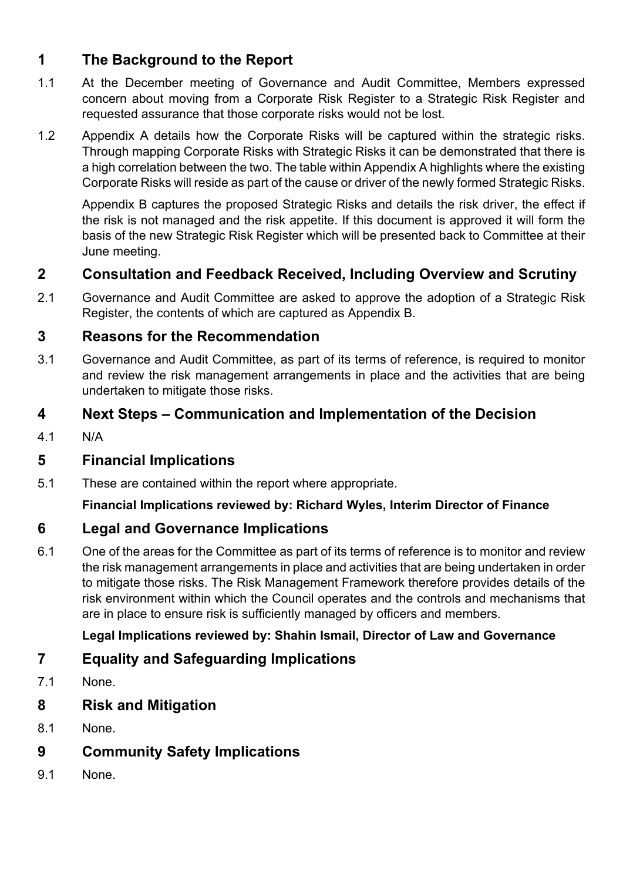# **1 The Background to the Report**

- 1.1 At the December meeting of Governance and Audit Committee, Members expressed concern about moving from a Corporate Risk Register to a Strategic Risk Register and requested assurance that those corporate risks would not be lost.
- 1.2 Appendix A details how the Corporate Risks will be captured within the strategic risks. Through mapping Corporate Risks with Strategic Risks it can be demonstrated that there is a high correlation between the two. The table within Appendix A highlights where the existing Corporate Risks will reside as part of the cause or driver of the newly formed Strategic Risks.

Appendix B captures the proposed Strategic Risks and details the risk driver, the effect if the risk is not managed and the risk appetite. If this document is approved it will form the basis of the new Strategic Risk Register which will be presented back to Committee at their June meeting.

### **2 Consultation and Feedback Received, Including Overview and Scrutiny**

2.1 Governance and Audit Committee are asked to approve the adoption of a Strategic Risk Register, the contents of which are captured as Appendix B.

#### **3 Reasons for the Recommendation**

3.1 Governance and Audit Committee, as part of its terms of reference, is required to monitor and review the risk management arrangements in place and the activities that are being undertaken to mitigate those risks.

### **4 Next Steps – Communication and Implementation of the Decision**

4.1 N/A

### **5 Financial Implications**

5.1 These are contained within the report where appropriate.

#### **Financial Implications reviewed by: Richard Wyles, Interim Director of Finance**

#### **6 Legal and Governance Implications**

6.1 One of the areas for the Committee as part of its terms of reference is to monitor and review the risk management arrangements in place and activities that are being undertaken in order to mitigate those risks. The Risk Management Framework therefore provides details of the risk environment within which the Council operates and the controls and mechanisms that are in place to ensure risk is sufficiently managed by officers and members.

#### **Legal Implications reviewed by: Shahin Ismail, Director of Law and Governance**

### **7 Equality and Safeguarding Implications**

- 7.1 None.
- **8 Risk and Mitigation**
- 8.1 None.
- **9 Community Safety Implications**
- 9.1 None.